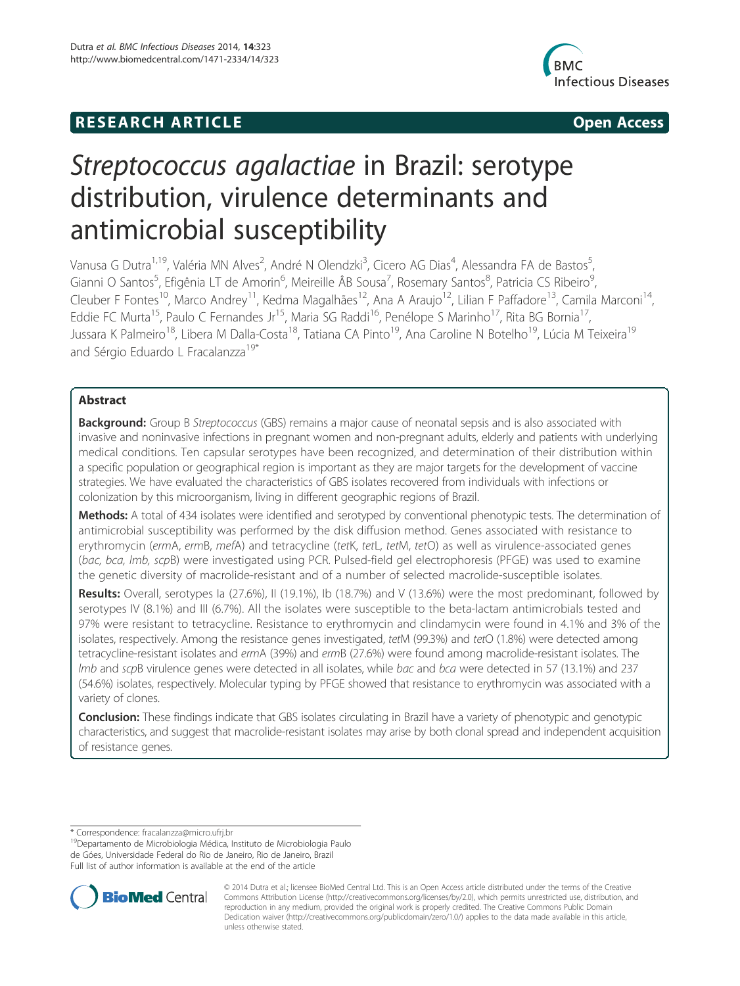# **RESEARCH ARTICLE Example 2014 12:30 The SEAR CHA RESEARCH ARTICLE**



# Streptococcus agalactiae in Brazil: serotype distribution, virulence determinants and antimicrobial susceptibility

Vanusa G Dutra<sup>1,19</sup>, Valéria MN Alves<sup>2</sup>, André N Olendzki<sup>3</sup>, Cicero AG Dias<sup>4</sup>, Alessandra FA de Bastos<sup>5</sup> , Gianni O Santos<sup>5</sup>, Efigênia LT de Amorin<sup>6</sup>, Meireille ÂB Sousa<sup>7</sup>, Rosemary Santos<sup>8</sup>, Patricia CS Ribeiro<sup>s</sup> , Cleuber F Fontes<sup>10</sup>, Marco Andrey<sup>11</sup>, Kedma Magalhães<sup>12</sup>, Ana A Araujo<sup>12</sup>, Lilian F Paffadore<sup>13</sup>, Camila Marconi<sup>14</sup>, Eddie FC Murta<sup>15</sup>, Paulo C Fernandes Jr<sup>15</sup>, Maria SG Raddi<sup>16</sup>, Penélope S Marinho<sup>17</sup>, Rita BG Bornia<sup>17</sup>, Jussara K Palmeiro<sup>18</sup>, Libera M Dalla-Costa<sup>18</sup>, Tatiana CA Pinto<sup>19</sup>, Ana Caroline N Botelho<sup>19</sup>, Lúcia M Teixeira<sup>19</sup> and Sérgio Eduardo L Fracalanzza<sup>19\*</sup>

# Abstract

**Background:** Group B Streptococcus (GBS) remains a major cause of neonatal sepsis and is also associated with invasive and noninvasive infections in pregnant women and non-pregnant adults, elderly and patients with underlying medical conditions. Ten capsular serotypes have been recognized, and determination of their distribution within a specific population or geographical region is important as they are major targets for the development of vaccine strategies. We have evaluated the characteristics of GBS isolates recovered from individuals with infections or colonization by this microorganism, living in different geographic regions of Brazil.

Methods: A total of 434 isolates were identified and serotyped by conventional phenotypic tests. The determination of antimicrobial susceptibility was performed by the disk diffusion method. Genes associated with resistance to erythromycin (ermA, ermB, mefA) and tetracycline (tetK, tetL, tetM, tetO) as well as virulence-associated genes (bac, bca, lmb, scpB) were investigated using PCR. Pulsed-field gel electrophoresis (PFGE) was used to examine the genetic diversity of macrolide-resistant and of a number of selected macrolide-susceptible isolates.

Results: Overall, serotypes Ia (27.6%), II (19.1%), Ib (18.7%) and V (13.6%) were the most predominant, followed by serotypes IV (8.1%) and III (6.7%). All the isolates were susceptible to the beta-lactam antimicrobials tested and 97% were resistant to tetracycline. Resistance to erythromycin and clindamycin were found in 4.1% and 3% of the isolates, respectively. Among the resistance genes investigated, tetM (99.3%) and tetO (1.8%) were detected among tetracycline-resistant isolates and ermA (39%) and ermB (27.6%) were found among macrolide-resistant isolates. The lmb and scpB virulence genes were detected in all isolates, while bac and bca were detected in 57 (13.1%) and 237 (54.6%) isolates, respectively. Molecular typing by PFGE showed that resistance to erythromycin was associated with a variety of clones.

**Conclusion:** These findings indicate that GBS isolates circulating in Brazil have a variety of phenotypic and genotypic characteristics, and suggest that macrolide-resistant isolates may arise by both clonal spread and independent acquisition of resistance genes.

\* Correspondence: fracalanzza@micro.ufrj.br 19Departamento de Microbiologia Médica, Instituto de Microbiologia Paulo de Góes, Universidade Federal do Rio de Janeiro, Rio de Janeiro, Brazil Full list of author information is available at the end of the article



© 2014 Dutra et al.; licensee BioMed Central Ltd. This is an Open Access article distributed under the terms of the Creative Commons Attribution License (http://creativecommons.org/licenses/by/2.0), which permits unrestricted use, distribution, and reproduction in any medium, provided the original work is properly credited. The Creative Commons Public Domain Dedication waiver (http://creativecommons.org/publicdomain/zero/1.0/) applies to the data made available in this article, unless otherwise stated.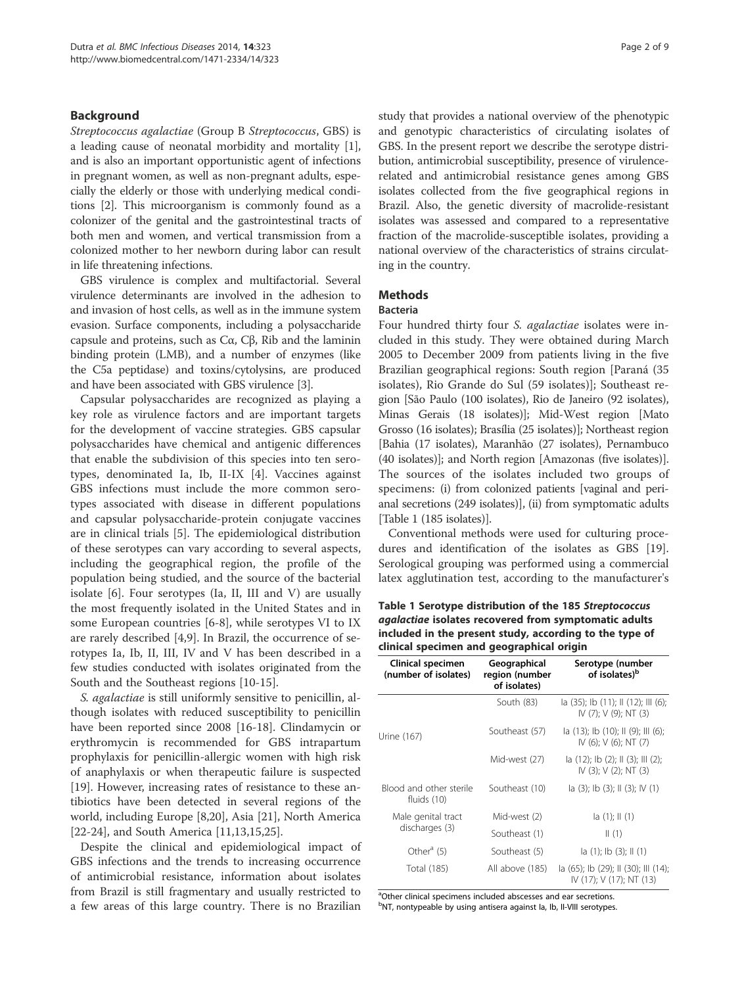#### Background

Streptococcus agalactiae (Group B Streptococcus, GBS) is a leading cause of neonatal morbidity and mortality [1], and is also an important opportunistic agent of infections in pregnant women, as well as non-pregnant adults, especially the elderly or those with underlying medical conditions [2]. This microorganism is commonly found as a colonizer of the genital and the gastrointestinal tracts of both men and women, and vertical transmission from a colonized mother to her newborn during labor can result in life threatening infections.

GBS virulence is complex and multifactorial. Several virulence determinants are involved in the adhesion to and invasion of host cells, as well as in the immune system evasion. Surface components, including a polysaccharide capsule and proteins, such as Cα, Cβ, Rib and the laminin binding protein (LMB), and a number of enzymes (like the C5a peptidase) and toxins/cytolysins, are produced and have been associated with GBS virulence [3].

Capsular polysaccharides are recognized as playing a key role as virulence factors and are important targets for the development of vaccine strategies. GBS capsular polysaccharides have chemical and antigenic differences that enable the subdivision of this species into ten serotypes, denominated Ia, Ib, II-IX [4]. Vaccines against GBS infections must include the more common serotypes associated with disease in different populations and capsular polysaccharide-protein conjugate vaccines are in clinical trials [5]. The epidemiological distribution of these serotypes can vary according to several aspects, including the geographical region, the profile of the population being studied, and the source of the bacterial isolate [6]. Four serotypes (Ia, II, III and V) are usually the most frequently isolated in the United States and in some European countries [6-8], while serotypes VI to IX are rarely described [4,9]. In Brazil, the occurrence of serotypes Ia, Ib, II, III, IV and V has been described in a few studies conducted with isolates originated from the South and the Southeast regions [10-15].

S. agalactiae is still uniformly sensitive to penicillin, although isolates with reduced susceptibility to penicillin have been reported since 2008 [16-18]. Clindamycin or erythromycin is recommended for GBS intrapartum prophylaxis for penicillin-allergic women with high risk of anaphylaxis or when therapeutic failure is suspected [19]. However, increasing rates of resistance to these antibiotics have been detected in several regions of the world, including Europe [8,20], Asia [21], North America [22-24], and South America [11,13,15,25].

Despite the clinical and epidemiological impact of GBS infections and the trends to increasing occurrence of antimicrobial resistance, information about isolates from Brazil is still fragmentary and usually restricted to a few areas of this large country. There is no Brazilian study that provides a national overview of the phenotypic and genotypic characteristics of circulating isolates of GBS. In the present report we describe the serotype distribution, antimicrobial susceptibility, presence of virulencerelated and antimicrobial resistance genes among GBS isolates collected from the five geographical regions in Brazil. Also, the genetic diversity of macrolide-resistant isolates was assessed and compared to a representative fraction of the macrolide-susceptible isolates, providing a national overview of the characteristics of strains circulating in the country.

#### Methods

#### Bacteria

Four hundred thirty four S. agalactiae isolates were included in this study. They were obtained during March 2005 to December 2009 from patients living in the five Brazilian geographical regions: South region [Paraná (35 isolates), Rio Grande do Sul (59 isolates)]; Southeast region [São Paulo (100 isolates), Rio de Janeiro (92 isolates), Minas Gerais (18 isolates)]; Mid-West region [Mato Grosso (16 isolates); Brasília (25 isolates)]; Northeast region [Bahia (17 isolates), Maranhão (27 isolates), Pernambuco (40 isolates)]; and North region [Amazonas (five isolates)]. The sources of the isolates included two groups of specimens: (i) from colonized patients [vaginal and perianal secretions (249 isolates)], (ii) from symptomatic adults [Table 1 (185 isolates)].

Conventional methods were used for culturing procedures and identification of the isolates as GBS [19]. Serological grouping was performed using a commercial latex agglutination test, according to the manufacturer's

Table 1 Serotype distribution of the 185 Streptococcus agalactiae isolates recovered from symptomatic adults included in the present study, according to the type of clinical specimen and geographical origin

| Clinical specimen<br>(number of isolates) | Geographical<br>region (number<br>of isolates) | Serotype (number<br>of isolates) <sup>b</sup>                    |  |
|-------------------------------------------|------------------------------------------------|------------------------------------------------------------------|--|
|                                           | South (83)                                     | la (35); lb (11); ll (12); lll (6);<br>IV (7): V (9): NT (3)     |  |
| Urine (167)                               | Southeast (57)                                 | la (13); lb (10); ll (9); lll (6);<br>$IV$ (6); $V$ (6); NT (7)  |  |
|                                           | Mid-west (27)                                  | la (12); lb (2); ll (3); lll (2);<br>$IV$ (3): $V$ (2): NT (3)   |  |
| Blood and other sterile<br>fluids (10)    | Southeast (10)                                 | $\vert a(3); \vert b(3); \vert l(3); \vert V(1) \vert$           |  |
| Male genital tract<br>discharges (3)      | Mid-west (2)                                   | $ a(1);$ $  (1)$                                                 |  |
|                                           | Southeast (1)                                  | $\parallel$ (1)                                                  |  |
| Other <sup>a</sup> (5)                    | Southeast (5)                                  | $a(1)$ ; lb $(3)$ ; ll $(1)$                                     |  |
| Total (185)                               | All above (185)                                | la (65); lb (29); ll (30); lll (14);<br>IV (17): V (17): NT (13) |  |

<sup>a</sup>Other clinical specimens included abscesses and ear secretions. bNT, nontypeable by using antisera against la, lb, II-VIII serotypes.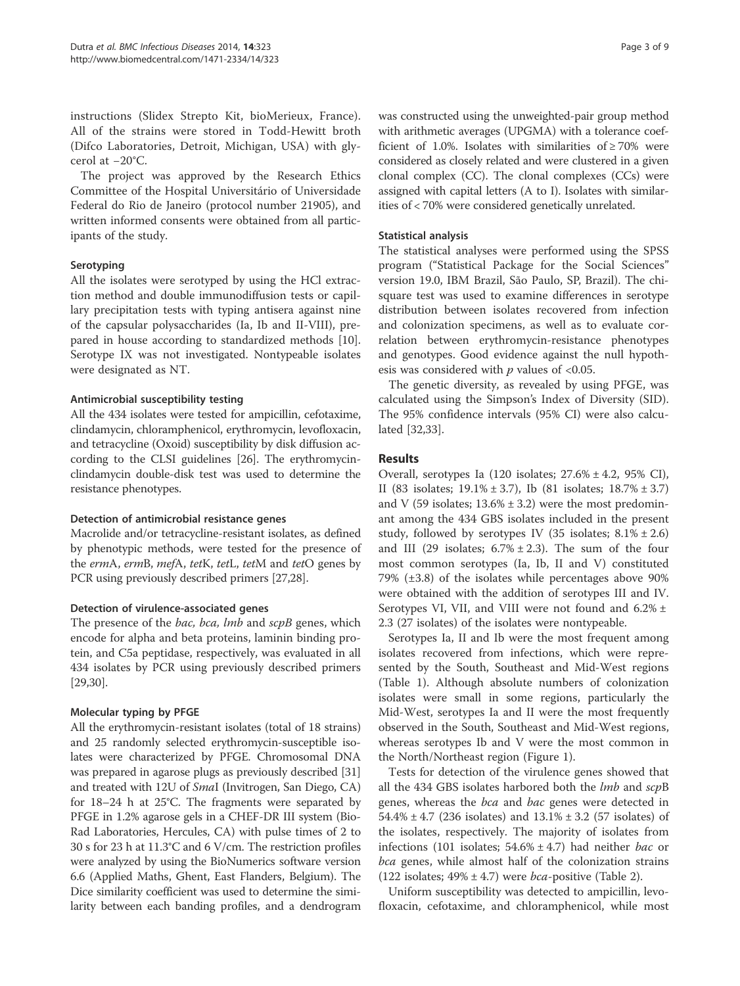instructions (Slidex Strepto Kit, bioMerieux, France). All of the strains were stored in Todd-Hewitt broth (Difco Laboratories, Detroit, Michigan, USA) with glycerol at −20°C.

The project was approved by the Research Ethics Committee of the Hospital Universitário of Universidade Federal do Rio de Janeiro (protocol number 21905), and written informed consents were obtained from all participants of the study.

# Serotyping

All the isolates were serotyped by using the HCl extraction method and double immunodiffusion tests or capillary precipitation tests with typing antisera against nine of the capsular polysaccharides (Ia, Ib and II-VIII), prepared in house according to standardized methods [10]. Serotype IX was not investigated. Nontypeable isolates were designated as NT.

# Antimicrobial susceptibility testing

All the 434 isolates were tested for ampicillin, cefotaxime, clindamycin, chloramphenicol, erythromycin, levofloxacin, and tetracycline (Oxoid) susceptibility by disk diffusion according to the CLSI guidelines [26]. The erythromycinclindamycin double-disk test was used to determine the resistance phenotypes.

#### Detection of antimicrobial resistance genes

Macrolide and/or tetracycline-resistant isolates, as defined by phenotypic methods, were tested for the presence of the ermA, ermB, mefA, tetK, tetL, tetM and tetO genes by PCR using previously described primers [27,28].

# Detection of virulence-associated genes

The presence of the *bac, bca, lmb* and *scpB* genes, which encode for alpha and beta proteins, laminin binding protein, and C5a peptidase, respectively, was evaluated in all 434 isolates by PCR using previously described primers [29,30].

# Molecular typing by PFGE

All the erythromycin-resistant isolates (total of 18 strains) and 25 randomly selected erythromycin-susceptible isolates were characterized by PFGE. Chromosomal DNA was prepared in agarose plugs as previously described [31] and treated with 12U of SmaI (Invitrogen, San Diego, CA) for 18–24 h at 25°C. The fragments were separated by PFGE in 1.2% agarose gels in a CHEF-DR III system (Bio-Rad Laboratories, Hercules, CA) with pulse times of 2 to 30 s for 23 h at 11.3°C and 6 V/cm. The restriction profiles were analyzed by using the BioNumerics software version 6.6 (Applied Maths, Ghent, East Flanders, Belgium). The Dice similarity coefficient was used to determine the similarity between each banding profiles, and a dendrogram

was constructed using the unweighted-pair group method with arithmetic averages (UPGMA) with a tolerance coefficient of 1.0%. Isolates with similarities of  $\geq 70\%$  were considered as closely related and were clustered in a given clonal complex (CC). The clonal complexes (CCs) were assigned with capital letters (A to I). Isolates with similarities of < 70% were considered genetically unrelated.

#### Statistical analysis

The statistical analyses were performed using the SPSS program ("Statistical Package for the Social Sciences" version 19.0, IBM Brazil, São Paulo, SP, Brazil). The chisquare test was used to examine differences in serotype distribution between isolates recovered from infection and colonization specimens, as well as to evaluate correlation between erythromycin-resistance phenotypes and genotypes. Good evidence against the null hypothesis was considered with  $p$  values of <0.05.

The genetic diversity, as revealed by using PFGE, was calculated using the Simpson's Index of Diversity (SID). The 95% confidence intervals (95% CI) were also calculated [32,33].

# Results

Overall, serotypes Ia (120 isolates; 27.6% ± 4.2, 95% CI), II (83 isolates;  $19.1\% \pm 3.7$ ), Ib (81 isolates;  $18.7\% \pm 3.7$ ) and V (59 isolates;  $13.6\% \pm 3.2$ ) were the most predominant among the 434 GBS isolates included in the present study, followed by serotypes IV (35 isolates;  $8.1\% \pm 2.6$ ) and III (29 isolates;  $6.7\% \pm 2.3$ ). The sum of the four most common serotypes (Ia, Ib, II and V) constituted 79% (±3.8) of the isolates while percentages above 90% were obtained with the addition of serotypes III and IV. Serotypes VI, VII, and VIII were not found and  $6.2\% \pm$ 2.3 (27 isolates) of the isolates were nontypeable.

Serotypes Ia, II and Ib were the most frequent among isolates recovered from infections, which were represented by the South, Southeast and Mid-West regions (Table 1). Although absolute numbers of colonization isolates were small in some regions, particularly the Mid-West, serotypes Ia and II were the most frequently observed in the South, Southeast and Mid-West regions, whereas serotypes Ib and V were the most common in the North/Northeast region (Figure 1).

Tests for detection of the virulence genes showed that all the 434 GBS isolates harbored both the  $lmb$  and  $scpB$ genes, whereas the bca and bac genes were detected in 54.4%  $\pm$  4.7 (236 isolates) and 13.1%  $\pm$  3.2 (57 isolates) of the isolates, respectively. The majority of isolates from infections (101 isolates;  $54.6\% \pm 4.7$ ) had neither *bac* or bca genes, while almost half of the colonization strains (122 isolates;  $49\% \pm 4.7$ ) were *bca*-positive (Table 2).

Uniform susceptibility was detected to ampicillin, levofloxacin, cefotaxime, and chloramphenicol, while most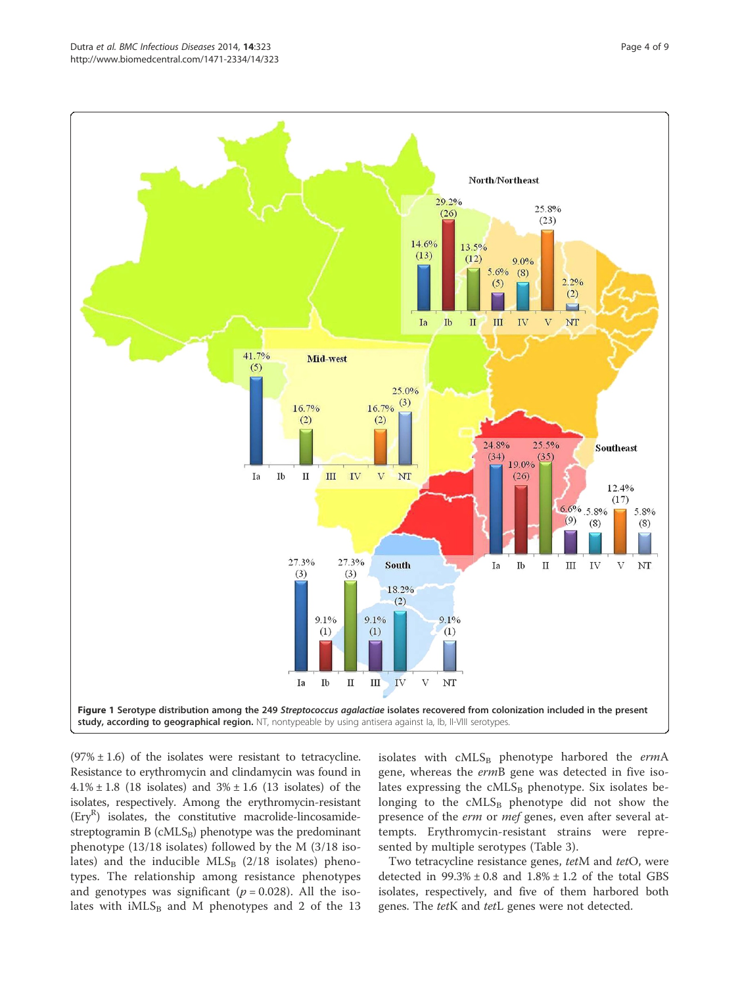

 $(97\% \pm 1.6)$  of the isolates were resistant to tetracycline. Resistance to erythromycin and clindamycin was found in  $4.1\% \pm 1.8$  (18 isolates) and  $3\% \pm 1.6$  (13 isolates) of the isolates, respectively. Among the erythromycin-resistant (Ery<sup>R</sup>) isolates, the constitutive macrolide-lincosamidestreptogramin B  $(cMLS_B)$  phenotype was the predominant phenotype (13/18 isolates) followed by the M (3/18 isolates) and the inducible  $MLS_B$  (2/18 isolates) phenotypes. The relationship among resistance phenotypes and genotypes was significant ( $p = 0.028$ ). All the isolates with  $IMLS_B$  and M phenotypes and 2 of the 13

isolates with  $\text{cMLS}_B$  phenotype harbored the ermA gene, whereas the ermB gene was detected in five isolates expressing the  $\text{cMLS}_B$  phenotype. Six isolates belonging to the  $cMLS_B$  phenotype did not show the presence of the *erm* or *mef* genes, even after several attempts. Erythromycin-resistant strains were represented by multiple serotypes (Table 3).

Two tetracycline resistance genes, tetM and tetO, were detected in  $99.3\% \pm 0.8$  and  $1.8\% \pm 1.2$  of the total GBS isolates, respectively, and five of them harbored both genes. The tetK and tetL genes were not detected.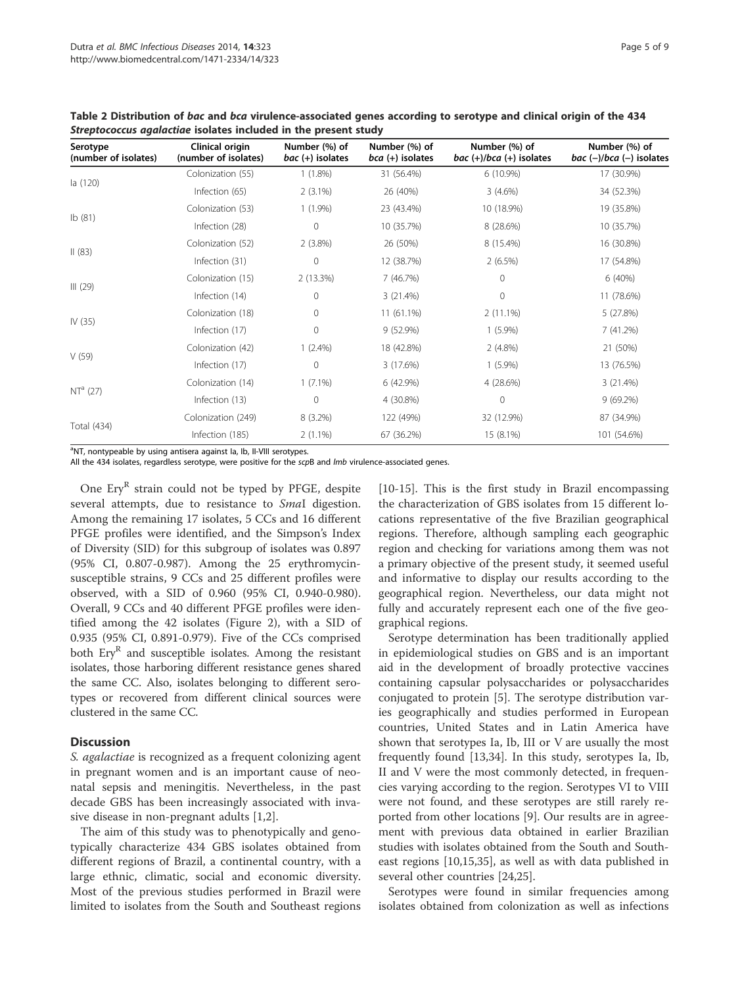| Serotype<br>(number of isolates) | Clinical origin<br>(number of isolates) | Number (%) of<br>$bac (+)$ isolates | Number (%) of<br>$bca (+)$ isolates | Number (%) of<br>bac $(+)/bca (+)$ isolates | Number (%) of<br>bac $(-)/bca$ $(-)$ isolates |
|----------------------------------|-----------------------------------------|-------------------------------------|-------------------------------------|---------------------------------------------|-----------------------------------------------|
| la (120)                         | Colonization (55)                       | $1(1.8\%)$                          | 31 (56.4%)                          | $6(10.9\%)$                                 | 17 (30.9%)                                    |
|                                  | Infection (65)                          | $2(3.1\%)$                          | 26 (40%)                            | $3(4.6\%)$                                  | 34 (52.3%)                                    |
| lb(81)                           | Colonization (53)                       | $1(1.9\%)$                          | 23 (43.4%)                          | 10 (18.9%)                                  | 19 (35.8%)                                    |
|                                  | Infection (28)                          | $\mathbf{0}$                        | 10 (35.7%)                          | 8 (28.6%)                                   | 10 (35.7%)                                    |
| II(83)                           | Colonization (52)                       | $2(3.8\%)$                          | 26 (50%)                            | 8 (15.4%)                                   | 16 (30.8%)                                    |
|                                  | Infection (31)                          | $\mathbf 0$                         | 12 (38.7%)                          | $2(6.5\%)$                                  | 17 (54.8%)                                    |
| III(29)                          | Colonization (15)                       | $2(13.3\%)$                         | 7 (46.7%)                           | $\mathbf{0}$                                | 6(40%)                                        |
|                                  | Infection (14)                          | $\mathbf{0}$                        | 3(21.4%)                            | $\mathbf{0}$                                | 11 (78.6%)                                    |
| IV $(35)$                        | Colonization (18)                       | $\Omega$                            | 11 (61.1%)                          | $2(11.1\%)$                                 | 5 (27.8%)                                     |
|                                  | Infection (17)                          | $\mathbf{0}$                        | 9(52.9%)                            | $1(5.9\%)$                                  | 7 (41.2%)                                     |
| V(59)                            | Colonization (42)                       | $1(2.4\%)$                          | 18 (42.8%)                          | $2(4.8\%)$                                  | 21 (50%)                                      |
|                                  | Infection (17)                          | $\mathbf 0$                         | 3 (17.6%)                           | $1(5.9\%)$                                  | 13 (76.5%)                                    |
| NT <sup>a</sup> (27)             | Colonization (14)                       | $1(7.1\%)$                          | 6 (42.9%)                           | 4 (28.6%)                                   | 3(21.4%)                                      |
|                                  | Infection (13)                          | $\mathbf{0}$                        | 4 (30.8%)                           | $\mathbf{0}$                                | $9(69.2\%)$                                   |
| Total (434)                      | Colonization (249)                      | $8(3.2\%)$                          | 122 (49%)                           | 32 (12.9%)                                  | 87 (34.9%)                                    |
|                                  | Infection (185)                         | $2(1.1\%)$                          | 67 (36.2%)                          | 15 (8.1%)                                   | 101 (54.6%)                                   |

Table 2 Distribution of bac and bca virulence-associated genes according to serotype and clinical origin of the 434 Streptococcus agalactiae isolates included in the present study

<sup>a</sup>NT, nontypeable by using antisera against la, lb, II-VIII serotypes.

All the 434 isolates, regardless serotype, were positive for the scpB and lmb virulence-associated genes.

One  $Ery^R$  strain could not be typed by PFGE, despite several attempts, due to resistance to SmaI digestion. Among the remaining 17 isolates, 5 CCs and 16 different PFGE profiles were identified, and the Simpson's Index of Diversity (SID) for this subgroup of isolates was 0.897 (95% CI, 0.807-0.987). Among the 25 erythromycinsusceptible strains, 9 CCs and 25 different profiles were observed, with a SID of 0.960 (95% CI, 0.940-0.980). Overall, 9 CCs and 40 different PFGE profiles were identified among the 42 isolates (Figure 2), with a SID of 0.935 (95% CI, 0.891-0.979). Five of the CCs comprised both  $Ery^R$  and susceptible isolates. Among the resistant isolates, those harboring different resistance genes shared the same CC. Also, isolates belonging to different serotypes or recovered from different clinical sources were clustered in the same CC.

# **Discussion**

S. agalactiae is recognized as a frequent colonizing agent in pregnant women and is an important cause of neonatal sepsis and meningitis. Nevertheless, in the past decade GBS has been increasingly associated with invasive disease in non-pregnant adults [1,2].

The aim of this study was to phenotypically and genotypically characterize 434 GBS isolates obtained from different regions of Brazil, a continental country, with a large ethnic, climatic, social and economic diversity. Most of the previous studies performed in Brazil were limited to isolates from the South and Southeast regions [10-15]. This is the first study in Brazil encompassing the characterization of GBS isolates from 15 different locations representative of the five Brazilian geographical regions. Therefore, although sampling each geographic region and checking for variations among them was not a primary objective of the present study, it seemed useful and informative to display our results according to the geographical region. Nevertheless, our data might not fully and accurately represent each one of the five geographical regions.

Serotype determination has been traditionally applied in epidemiological studies on GBS and is an important aid in the development of broadly protective vaccines containing capsular polysaccharides or polysaccharides conjugated to protein [5]. The serotype distribution varies geographically and studies performed in European countries, United States and in Latin America have shown that serotypes Ia, Ib, III or V are usually the most frequently found [13,34]. In this study, serotypes Ia, Ib, II and V were the most commonly detected, in frequencies varying according to the region. Serotypes VI to VIII were not found, and these serotypes are still rarely reported from other locations [9]. Our results are in agreement with previous data obtained in earlier Brazilian studies with isolates obtained from the South and Southeast regions [10,15,35], as well as with data published in several other countries [24,25].

Serotypes were found in similar frequencies among isolates obtained from colonization as well as infections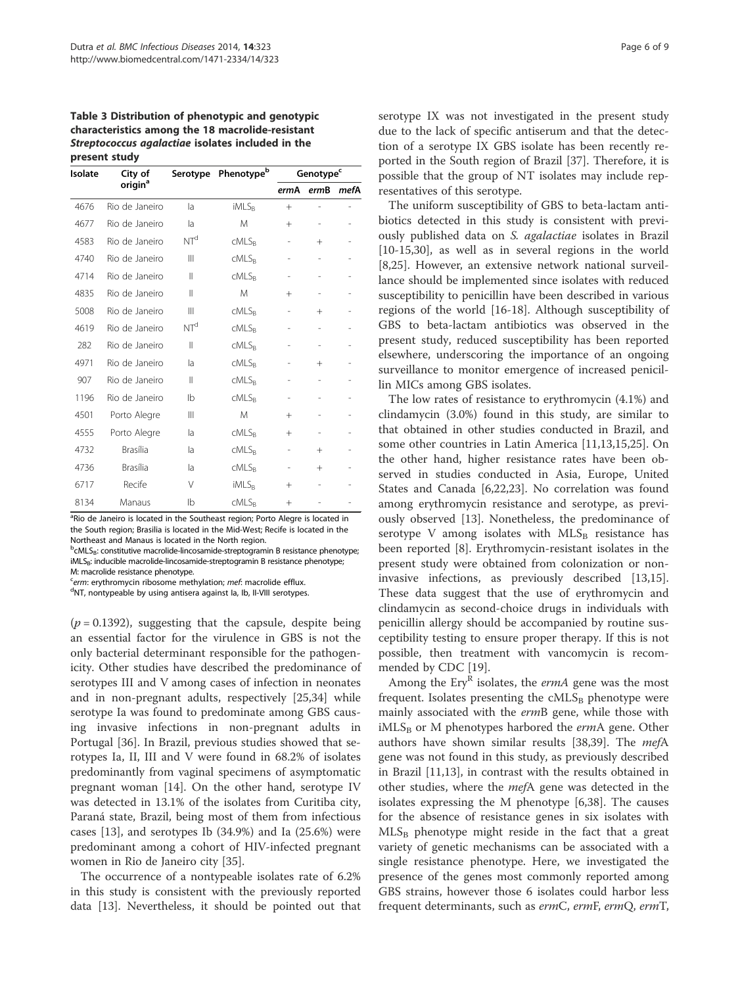Table 3 Distribution of phenotypic and genotypic characteristics among the 18 macrolide-resistant Streptococcus agalactiae isolates included in the present study

| Isolate<br>City of<br>origin <sup>a</sup> |                | Serotype        | <b>Phenotype</b> <sup>b</sup> | Genotype <sup>c</sup>    |        |  |
|-------------------------------------------|----------------|-----------------|-------------------------------|--------------------------|--------|--|
|                                           |                |                 | ermA                          | ermB                     | mefA   |  |
| 4676                                      | Rio de Janeiro | la              | IMLS <sub>B</sub>             | $+$                      |        |  |
| 4677                                      | Rio de Janeiro | la              | M                             | $^{+}$                   |        |  |
| 4583                                      | Rio de Janeiro | NT <sup>d</sup> | cMLS <sub>R</sub>             |                          | $+$    |  |
| 4740                                      | Rio de Janeiro | $\mathbb{H}$    | $cMLS_B$                      |                          |        |  |
| 4714                                      | Rio de Janeiro | $\mathbf{I}$    | CMLS <sub>R</sub>             | ÷,                       |        |  |
| 4835                                      | Rio de Janeiro | $\mathsf{II}$   | M                             | $^{+}$                   |        |  |
| 5008                                      | Rio de Janeiro | Ш               | $cMLS_B$                      |                          | $+$    |  |
| 4619                                      | Rio de Janeiro | NT <sup>d</sup> | $cMLS_R$                      |                          |        |  |
| 282                                       | Rio de Janeiro | Ш               | $cMLS_R$                      |                          |        |  |
| 4971                                      | Rio de Janeiro | la              | CMLS <sub>R</sub>             |                          | $^{+}$ |  |
| 907                                       | Rio de Janeiro | $\mathsf{II}$   | <b>CMLS</b> <sub>R</sub>      |                          |        |  |
| 1196                                      | Rio de Janeiro | Ib              | $cMLS_R$                      |                          |        |  |
| 4501                                      | Porto Alegre   | $\mathbb{H}$    | M                             | $+$                      |        |  |
| 4555                                      | Porto Alegre   | la              | $cMLS_R$                      | $+$                      |        |  |
| 4732                                      | Brasília       | la              | $cMLS_R$                      | $\overline{\phantom{0}}$ | $+$    |  |
| 4736                                      | Brasília       | la              | $cMLS_B$                      |                          | $^{+}$ |  |
| 6717                                      | Recife         | ٧               | IMLS <sub>R</sub>             | $+$                      |        |  |
| 8134                                      | Manaus         | Ib              | $cMLS_R$                      | $+$                      |        |  |

<sup>a</sup>Rio de Janeiro is located in the Southeast region; Porto Alegre is located in the South region; Brasilia is located in the Mid-West; Recife is located in the Northeast and Manaus is located in the North region.

 $^{\rm b}$ cMLS $_{\rm B}$ : constitutive macrolide-lincosamide-streptogramin B resistance phenotype;  $i$ MLS<sub>B</sub>: inducible macrolide-lincosamide-streptogramin B resistance phenotype; M: macrolide resistance phenotype.

 $(p = 0.1392)$ , suggesting that the capsule, despite being an essential factor for the virulence in GBS is not the only bacterial determinant responsible for the pathogenicity. Other studies have described the predominance of serotypes III and V among cases of infection in neonates and in non-pregnant adults, respectively [25,34] while serotype Ia was found to predominate among GBS causing invasive infections in non-pregnant adults in Portugal [36]. In Brazil, previous studies showed that serotypes Ia, II, III and V were found in 68.2% of isolates predominantly from vaginal specimens of asymptomatic pregnant woman [14]. On the other hand, serotype IV was detected in 13.1% of the isolates from Curitiba city, Paraná state, Brazil, being most of them from infectious cases [13], and serotypes Ib (34.9%) and Ia (25.6%) were predominant among a cohort of HIV-infected pregnant women in Rio de Janeiro city [35].

The occurrence of a nontypeable isolates rate of 6.2% in this study is consistent with the previously reported data [13]. Nevertheless, it should be pointed out that serotype IX was not investigated in the present study due to the lack of specific antiserum and that the detection of a serotype IX GBS isolate has been recently reported in the South region of Brazil [37]. Therefore, it is possible that the group of NT isolates may include representatives of this serotype.

The uniform susceptibility of GBS to beta-lactam antibiotics detected in this study is consistent with previously published data on S. agalactiae isolates in Brazil [10-15,30], as well as in several regions in the world [8,25]. However, an extensive network national surveillance should be implemented since isolates with reduced susceptibility to penicillin have been described in various regions of the world [16-18]. Although susceptibility of GBS to beta-lactam antibiotics was observed in the present study, reduced susceptibility has been reported elsewhere, underscoring the importance of an ongoing surveillance to monitor emergence of increased penicillin MICs among GBS isolates.

The low rates of resistance to erythromycin (4.1%) and clindamycin (3.0%) found in this study, are similar to that obtained in other studies conducted in Brazil, and some other countries in Latin America [11,13,15,25]. On the other hand, higher resistance rates have been observed in studies conducted in Asia, Europe, United States and Canada [6,22,23]. No correlation was found among erythromycin resistance and serotype, as previously observed [13]. Nonetheless, the predominance of serotype V among isolates with  $MLS_B$  resistance has been reported [8]. Erythromycin-resistant isolates in the present study were obtained from colonization or noninvasive infections, as previously described [13,15]. These data suggest that the use of erythromycin and clindamycin as second-choice drugs in individuals with penicillin allergy should be accompanied by routine susceptibility testing to ensure proper therapy. If this is not possible, then treatment with vancomycin is recommended by CDC [19].

Among the Ery<sup>R</sup> isolates, the *ermA* gene was the most frequent. Isolates presenting the  $\text{cMLS}_\text{B}$  phenotype were mainly associated with the ermB gene, while those with  $iMLS_B$  or M phenotypes harbored the *ermA* gene. Other authors have shown similar results [38,39]. The *mefA* gene was not found in this study, as previously described in Brazil [11,13], in contrast with the results obtained in other studies, where the *mef*A gene was detected in the isolates expressing the M phenotype [6,38]. The causes for the absence of resistance genes in six isolates with  $MLS_B$  phenotype might reside in the fact that a great variety of genetic mechanisms can be associated with a single resistance phenotype. Here, we investigated the presence of the genes most commonly reported among GBS strains, however those 6 isolates could harbor less frequent determinants, such as ermC, ermF, ermQ, ermT,

<sup>&</sup>lt;sup>c</sup>erm: erythromycin ribosome methylation; *mef*: macrolide efflux.<br><sup>d</sup>NT nontyneable by using antisera against la Jb JLVIII serotyne

<sup>&</sup>lt;sup>d</sup>NT, nontypeable by using antisera against la, lb, II-VIII serotypes.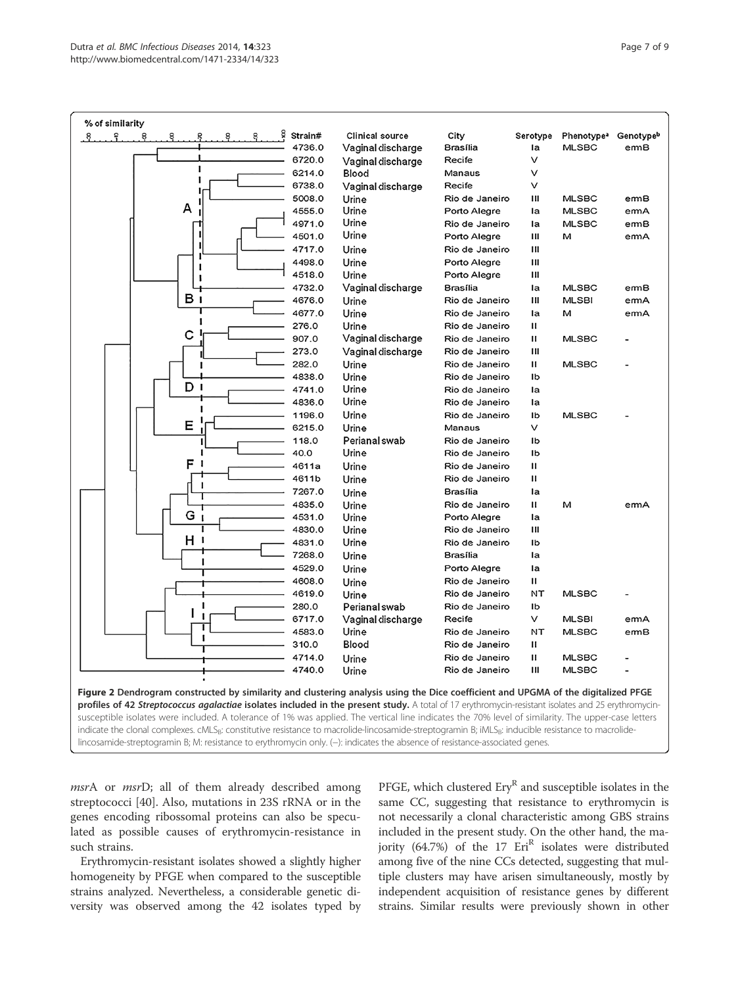

msrA or msrD; all of them already described among streptococci [40]. Also, mutations in 23S rRNA or in the genes encoding ribossomal proteins can also be speculated as possible causes of erythromycin-resistance in such strains.

Erythromycin-resistant isolates showed a slightly higher homogeneity by PFGE when compared to the susceptible strains analyzed. Nevertheless, a considerable genetic diversity was observed among the 42 isolates typed by PFGE, which clustered  $Ery^R$  and susceptible isolates in the same CC, suggesting that resistance to erythromycin is not necessarily a clonal characteristic among GBS strains included in the present study. On the other hand, the majority (64.7%) of the 17  $Eri<sup>R</sup>$  isolates were distributed among five of the nine CCs detected, suggesting that multiple clusters may have arisen simultaneously, mostly by independent acquisition of resistance genes by different strains. Similar results were previously shown in other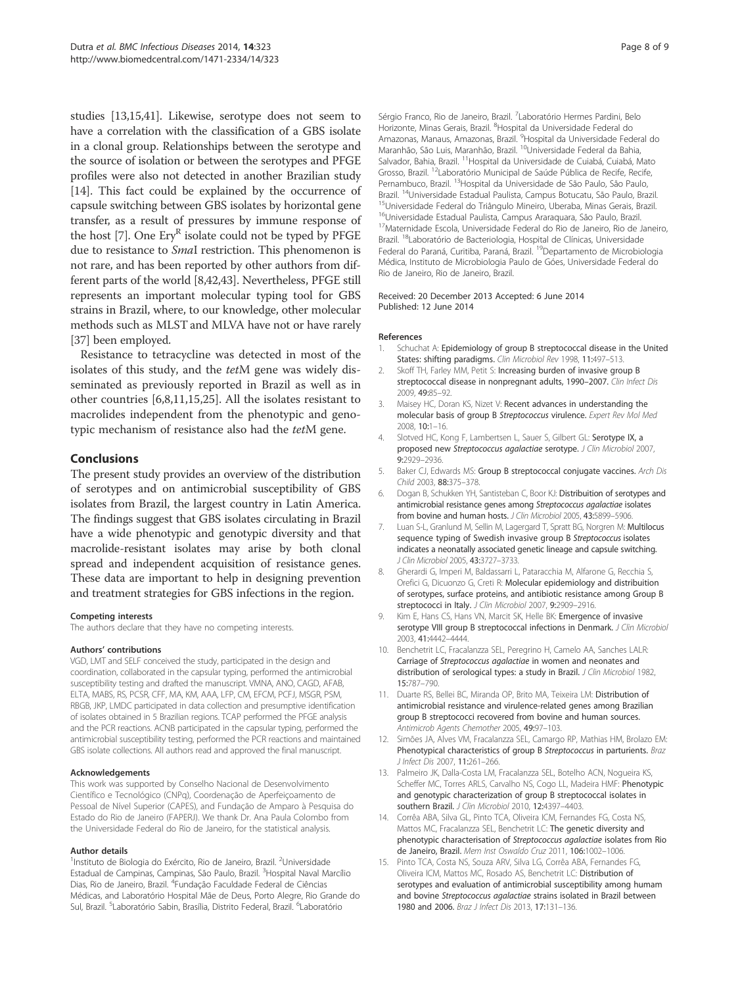studies [13,15,41]. Likewise, serotype does not seem to have a correlation with the classification of a GBS isolate in a clonal group. Relationships between the serotype and the source of isolation or between the serotypes and PFGE profiles were also not detected in another Brazilian study [14]. This fact could be explained by the occurrence of capsule switching between GBS isolates by horizontal gene transfer, as a result of pressures by immune response of the host [7]. One  $Ery^R$  isolate could not be typed by PFGE due to resistance to *SmaI* restriction. This phenomenon is not rare, and has been reported by other authors from different parts of the world [8,42,43]. Nevertheless, PFGE still represents an important molecular typing tool for GBS strains in Brazil, where, to our knowledge, other molecular methods such as MLST and MLVA have not or have rarely [37] been employed.

Resistance to tetracycline was detected in most of the isolates of this study, and the tetM gene was widely disseminated as previously reported in Brazil as well as in other countries [6,8,11,15,25]. All the isolates resistant to macrolides independent from the phenotypic and genotypic mechanism of resistance also had the tetM gene.

#### **Conclusions**

The present study provides an overview of the distribution of serotypes and on antimicrobial susceptibility of GBS isolates from Brazil, the largest country in Latin America. The findings suggest that GBS isolates circulating in Brazil have a wide phenotypic and genotypic diversity and that macrolide-resistant isolates may arise by both clonal spread and independent acquisition of resistance genes. These data are important to help in designing prevention and treatment strategies for GBS infections in the region.

#### Competing interests

The authors declare that they have no competing interests.

#### Authors' contributions

VGD, LMT and SELF conceived the study, participated in the design and coordination, collaborated in the capsular typing, performed the antimicrobial susceptibility testing and drafted the manuscript. VMNA, ANO, CAGD, AFAB, ELTA, MABS, RS, PCSR, CFF, MA, KM, AAA, LFP, CM, EFCM, PCFJ, MSGR, PSM, RBGB, JKP, LMDC participated in data collection and presumptive identification of isolates obtained in 5 Brazilian regions. TCAP performed the PFGE analysis and the PCR reactions. ACNB participated in the capsular typing, performed the antimicrobial susceptibility testing, performed the PCR reactions and maintained GBS isolate collections. All authors read and approved the final manuscript.

#### Acknowledgements

This work was supported by Conselho Nacional de Desenvolvimento Científico e Tecnológico (CNPq), Coordenação de Aperfeiçoamento de Pessoal de Nível Superior (CAPES), and Fundação de Amparo à Pesquisa do Estado do Rio de Janeiro (FAPERJ). We thank Dr. Ana Paula Colombo from the Universidade Federal do Rio de Janeiro, for the statistical analysis.

#### Author details

<sup>1</sup>Instituto de Biologia do Exército, Rio de Janeiro, Brazil. <sup>2</sup>Universidade Estadual de Campinas, Campinas, São Paulo, Brazil. <sup>3</sup>Hospital Naval Marcílio Dias, Rio de Janeiro, Brazil. <sup>4</sup>Fundação Faculdade Federal de Ciências Médicas, and Laboratório Hospital Mãe de Deus, Porto Alegre, Rio Grande do Sul, Brazil. <sup>5</sup>Laboratório Sabin, Brasília, Distrito Federal, Brazil. <sup>6</sup>Laboratório

Sérgio Franco, Rio de Janeiro, Brazil. <sup>7</sup>Laboratório Hermes Pardini, Belo Horizonte, Minas Gerais, Brazil. <sup>8</sup>Hospital da Universidade Federal do Amazonas, Manaus, Amazonas, Brazil. <sup>9</sup>Hospital da Universidade Federal do Maranhão, São Luis, Maranhão, Brazil. <sup>10</sup>Universidade Federal da Bahia, Salvador, Bahia, Brazil. <sup>11</sup>Hospital da Universidade de Cuiabá, Cuiabá, Mato Grosso, Brazil. 12Laboratório Municipal de Saúde Pública de Recife, Recife, Pernambuco, Brazil. <sup>13</sup>Hospital da Universidade de São Paulo, São Paulo, Brazil. <sup>14</sup>Universidade Estadual Paulista, Campus Botucatu, São Paulo, Brazil.<br><sup>15</sup>Universidade Federal do Triângulo Mineiro, Uberaba, Minas Gerais, Brazil. <sup>16</sup>Universidade Estadual Paulista, Campus Araraquara, São Paulo, Brazil. 17Maternidade Escola, Universidade Federal do Rio de Janeiro, Rio de Janeiro, Brazil. <sup>18</sup>Laboratório de Bacteriologia, Hospital de Clínicas, Universidade Federal do Paraná, Curitiba, Paraná, Brazil. <sup>19</sup>Departamento de Microbiologia Médica, Instituto de Microbiologia Paulo de Góes, Universidade Federal do Rio de Janeiro, Rio de Janeiro, Brazil.

#### Received: 20 December 2013 Accepted: 6 June 2014 Published: 12 June 2014

#### References

- Schuchat A: Epidemiology of group B streptococcal disease in the United States: shifting paradigms. Clin Microbiol Rev 1998, 11:497-513.
- 2. Skoff TH, Farley MM, Petit S: Increasing burden of invasive group B streptococcal disease in nonpregnant adults, 1990-2007. Clin Infect Dis 2009, 49:85–92.
- 3. Maisey HC, Doran KS, Nizet V: Recent advances in understanding the molecular basis of group B Streptococcus virulence. Expert Rev Mol Med 2008, 10:1–16.
- 4. Slotved HC, Kong F, Lambertsen L, Sauer S, Gilbert GL: Serotype IX, a proposed new Streptococcus agalactiae serotype. J Clin Microbiol 2007, 9:2929–2936.
- 5. Baker CJ, Edwards MS: Group B streptococcal conjugate vaccines. Arch Dis Child 2003, 88:375–378.
- Dogan B, Schukken YH, Santisteban C, Boor KJ: Distribuition of serotypes and antimicrobial resistance genes among Streptococcus agalactiae isolates from bovine and human hosts. J Clin Microbiol 2005, 43:5899-5906.
- 7. Luan S-L, Granlund M, Sellin M, Lagergard T, Spratt BG, Norgren M: Multilocus sequence typing of Swedish invasive group B Streptococcus isolates indicates a neonatally associated genetic lineage and capsule switching. J Clin Microbiol 2005, 43:3727–3733.
- 8. Gherardi G, Imperi M, Baldassarri L, Pataracchia M, Alfarone G, Recchia S, Orefici G, Dicuonzo G, Creti R: Molecular epidemiology and distribuition of serotypes, surface proteins, and antibiotic resistance among Group B streptococci in Italy. J Clin Microbiol 2007, 9:2909-2916.
- 9. Kim E, Hans CS, Hans VN, Marcit SK, Helle BK: Emergence of invasive serotype VIII group B streptococcal infections in Denmark. J Clin Microbiol 2003, 41:4442–4444.
- Benchetrit LC, Fracalanzza SEL, Peregrino H, Camelo AA, Sanches LALR: Carriage of Streptococcus agalactiae in women and neonates and distribution of serological types: a study in Brazil. J Clin Microbiol 1982, 15:787–790.
- 11. Duarte RS, Bellei BC, Miranda OP, Brito MA, Teixeira LM: Distribution of antimicrobial resistance and virulence-related genes among Brazilian group B streptococci recovered from bovine and human sources. Antimicrob Agents Chemother 2005, 49:97–103.
- 12. Simões JA, Alves VM, Fracalanzza SEL, Camargo RP, Mathias HM, Brolazo EM: Phenotypical characteristics of group B Streptococcus in parturients. Braz J Infect Dis 2007, 11:261–266.
- 13. Palmeiro JK, Dalla-Costa LM, Fracalanzza SEL, Botelho ACN, Nogueira KS, Scheffer MC, Torres ARLS, Carvalho NS, Cogo LL, Madeira HMF: Phenotypic and genotypic characterization of group B streptococcal isolates in southern Brazil. J Clin Microbiol 2010, 12:4397–4403.
- 14. Corrêa ABA, Silva GL, Pinto TCA, Oliveira ICM, Fernandes FG, Costa NS, Mattos MC, Fracalanzza SEL, Benchetrit LC: The genetic diversity and phenotypic characterisation of Streptococcus agalactiae isolates from Rio de Janeiro, Brazil. Mem Inst Oswaldo Cruz 2011, 106:1002–1006.
- 15. Pinto TCA, Costa NS, Souza ARV, Silva LG, Corrêa ABA, Fernandes FG, Oliveira ICM, Mattos MC, Rosado AS, Benchetrit LC: Distribution of serotypes and evaluation of antimicrobial susceptibility among humam and bovine Streptococcus agalactiae strains isolated in Brazil between 1980 and 2006. Braz J Infect Dis 2013, 17:131-136.